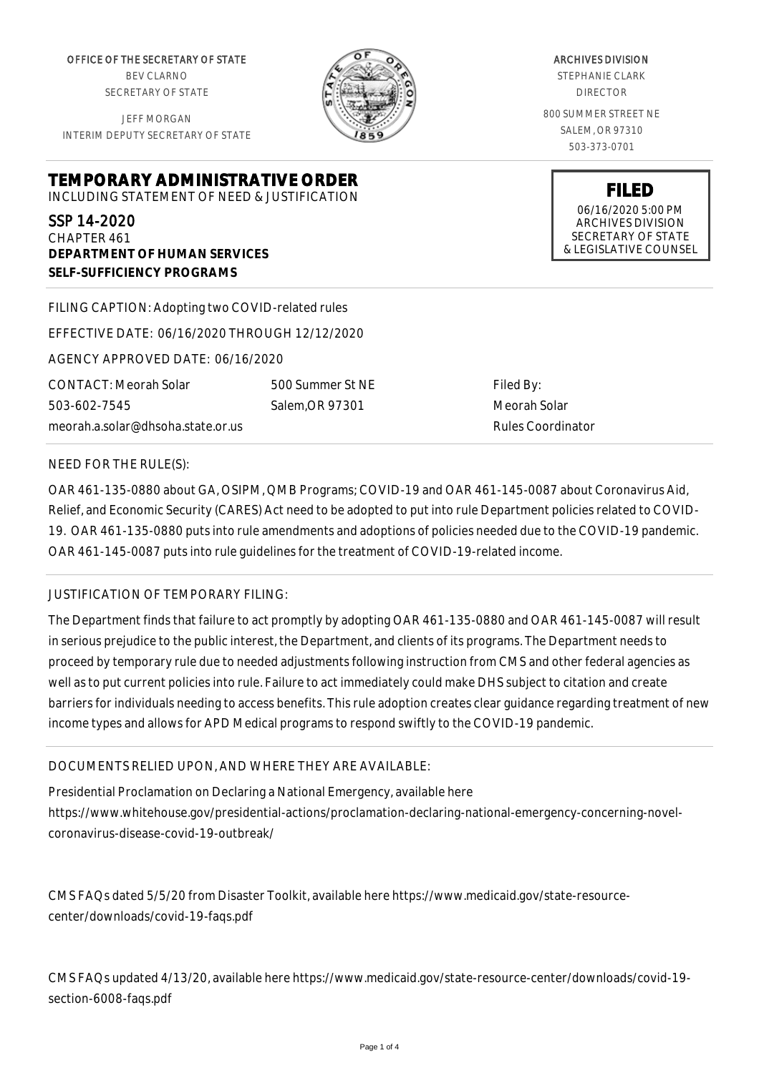OFFICE OF THE SECRETARY OF STATE BEV CLARNO SECRETARY OF STATE

JEFF MORGAN INTERIM DEPUTY SECRETARY OF STATE

ARCHIVES DIVISION STEPHANIE CLARK DIRECTOR 800 SUMMER STREET NE SALEM, OR 97310 503-373-0701

> **FILED** 06/16/2020 5:00 PM ARCHIVES DIVISION SECRETARY OF STATE & LEGISLATIVE COUNSEL

SSP 14-2020 CHAPTER 461 **DEPARTMENT OF HUMAN SERVICES SELF-SUFFICIENCY PROGRAMS**

**TEMPORARY ADMINISTRATIVE ORDER** INCLUDING STATEMENT OF NEED & JUSTIFICATION

FILING CAPTION: Adopting two COVID-related rules EFFECTIVE DATE: 06/16/2020 THROUGH 12/12/2020 AGENCY APPROVED DATE: 06/16/2020 CONTACT: Meorah Solar 503-602-7545 meorah.a.solar@dhsoha.state.or.us 500 Summer St NE Salem,OR 97301

Filed By: Meorah Solar Rules Coordinator

### NEED FOR THE RULE(S):

OAR 461-135-0880 about GA, OSIPM, QMB Programs; COVID-19 and OAR 461-145-0087 about Coronavirus Aid, Relief, and Economic Security (CARES) Act need to be adopted to put into rule Department policies related to COVID-19. OAR 461-135-0880 puts into rule amendments and adoptions of policies needed due to the COVID-19 pandemic. OAR 461-145-0087 puts into rule guidelines for the treatment of COVID-19-related income.

# JUSTIFICATION OF TEMPORARY FILING:

The Department finds that failure to act promptly by adopting OAR 461-135-0880 and OAR 461-145-0087 will result in serious prejudice to the public interest, the Department, and clients of its programs. The Department needs to proceed by temporary rule due to needed adjustments following instruction from CMS and other federal agencies as well as to put current policies into rule. Failure to act immediately could make DHS subject to citation and create barriers for individuals needing to access benefits. This rule adoption creates clear guidance regarding treatment of new income types and allows for APD Medical programs to respond swiftly to the COVID-19 pandemic.

# DOCUMENTS RELIED UPON, AND WHERE THEY ARE AVAILABLE:

Presidential Proclamation on Declaring a National Emergency, available here https://www.whitehouse.gov/presidential-actions/proclamation-declaring-national-emergency-concerning-novelcoronavirus-disease-covid-19-outbreak/

CMS FAQs dated 5/5/20 from Disaster Toolkit, available here https://www.medicaid.gov/state-resourcecenter/downloads/covid-19-faqs.pdf

CMS FAQs updated 4/13/20, available here https://www.medicaid.gov/state-resource-center/downloads/covid-19 section-6008-faqs.pdf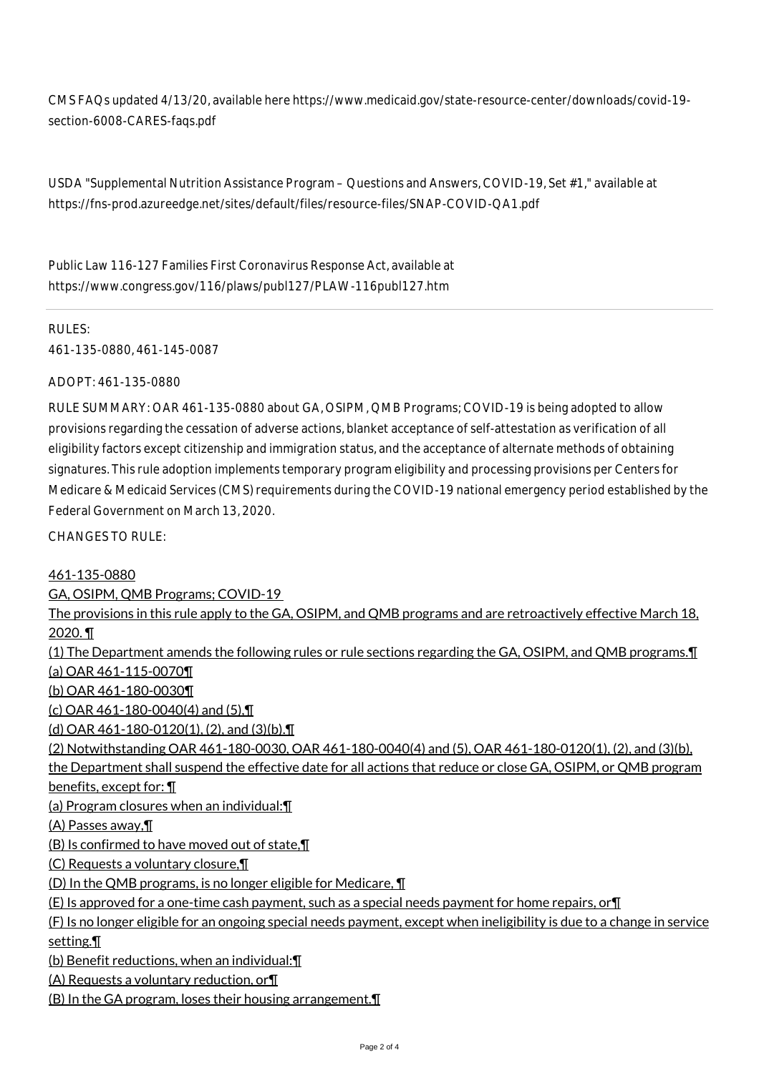CMS FAQs updated 4/13/20, available here https://www.medicaid.gov/state-resource-center/downloads/covid-19 section-6008-CARES-faqs.pdf

USDA "Supplemental Nutrition Assistance Program – Questions and Answers, COVID-19, Set #1," available at https://fns-prod.azureedge.net/sites/default/files/resource-files/SNAP-COVID-QA1.pdf

Public Law 116-127 Families First Coronavirus Response Act, available at https://www.congress.gov/116/plaws/publ127/PLAW-116publ127.htm

RULES: 461-135-0880, 461-145-0087

ADOPT: 461-135-0880

RULE SUMMARY: OAR 461-135-0880 about GA, OSIPM, QMB Programs; COVID-19 is being adopted to allow provisions regarding the cessation of adverse actions, blanket acceptance of self-attestation as verification of all eligibility factors except citizenship and immigration status, and the acceptance of alternate methods of obtaining signatures. This rule adoption implements temporary program eligibility and processing provisions per Centers for Medicare & Medicaid Services (CMS) requirements during the COVID-19 national emergency period established by the Federal Government on March 13, 2020.

CHANGES TO RULE:

461-135-0880 GA, OSIPM, QMB Programs; COVID-19 The provisions in this rule apply to the GA, OSIPM, and QMB programs and are retroactively effective March 18, 2020. ¶ (1) The Department amends the following rules or rule sections regarding the GA, OSIPM, and QMB programs.¶ (a) OAR 461-115-0070¶ (b) OAR 461-180-0030¶ (c) OAR 461-180-0040(4) and (5),¶ (d) OAR 461-180-0120(1), (2), and (3)(b).¶ (2) Notwithstanding OAR 461-180-0030, OAR 461-180-0040(4) and (5), OAR 461-180-0120(1), (2), and (3)(b), the Department shall suspend the effective date for all actions that reduce or close GA, OSIPM, or QMB program benefits, except for: ¶ (a) Program closures when an individual:¶ (A) Passes away,¶ (B) Is confirmed to have moved out of state,¶ (C) Requests a voluntary closure,¶ (D) In the QMB programs, is no longer eligible for Medicare, ¶  $(E)$  Is approved for a one-time cash payment, such as a special needs payment for home repairs, or  $\P$ (F) Is no longer eligible for an ongoing special needs payment, except when ineligibility is due to a change in service setting.¶ (b) Benefit reductions, when an individual:¶ (A) Requests a voluntary reduction, or¶

(B) In the GA program, loses their housing arrangement.¶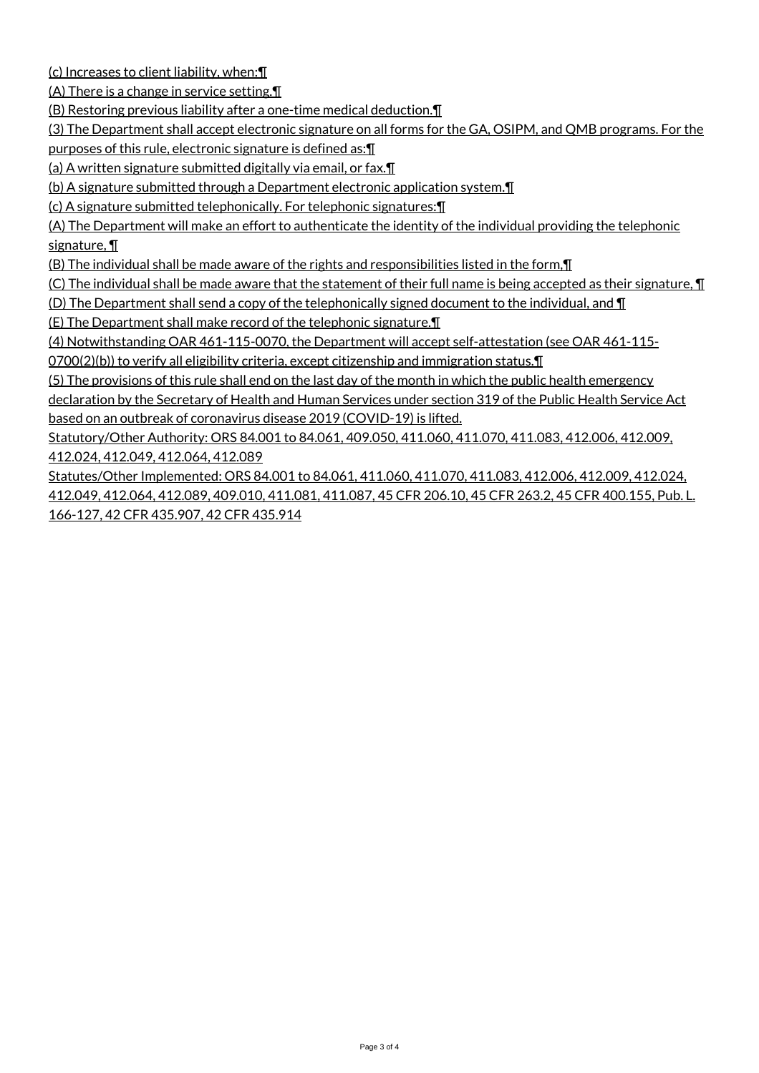(c) Increases to client liability, when:¶

(A) There is a change in service setting.¶

(B) Restoring previous liability after a one-time medical deduction.¶

(3) The Department shall accept electronic signature on all forms for the GA, OSIPM, and QMB programs. For the purposes of this rule, electronic signature is defined as:¶

(a) A written signature submitted digitally via email, or fax.¶

(b) A signature submitted through a Department electronic application system.¶

(c) A signature submitted telephonically. For telephonic signatures:¶

(A) The Department will make an effort to authenticate the identity of the individual providing the telephonic signature, ¶

(B) The individual shall be made aware of the rights and responsibilities listed in the form,¶

(C) The individual shall be made aware that the statement of their full name is being accepted as their signature,  $\P$ 

(D) The Department shall send a copy of the telephonically signed document to the individual, and ¶

(E) The Department shall make record of the telephonic signature.¶

(4) Notwithstanding OAR 461-115-0070, the Department will accept self-attestation (see OAR 461-115-

0700(2)(b)) to verify all eligibility criteria, except citizenship and immigration status.¶

(5) The provisions of this rule shall end on the last day of the month in which the public health emergency

declaration by the Secretary of Health and Human Services under section 319 of the Public Health Service Act based on an outbreak of coronavirus disease 2019 (COVID-19) is lifted.

Statutory/Other Authority: ORS 84.001 to 84.061, 409.050, 411.060, 411.070, 411.083, 412.006, 412.009, 412.024, 412.049, 412.064, 412.089

Statutes/Other Implemented: ORS 84.001 to 84.061, 411.060, 411.070, 411.083, 412.006, 412.009, 412.024, 412.049, 412.064, 412.089, 409.010, 411.081, 411.087, 45 CFR 206.10, 45 CFR 263.2, 45 CFR 400.155, Pub. L. 166-127, 42 CFR 435.907, 42 CFR 435.914